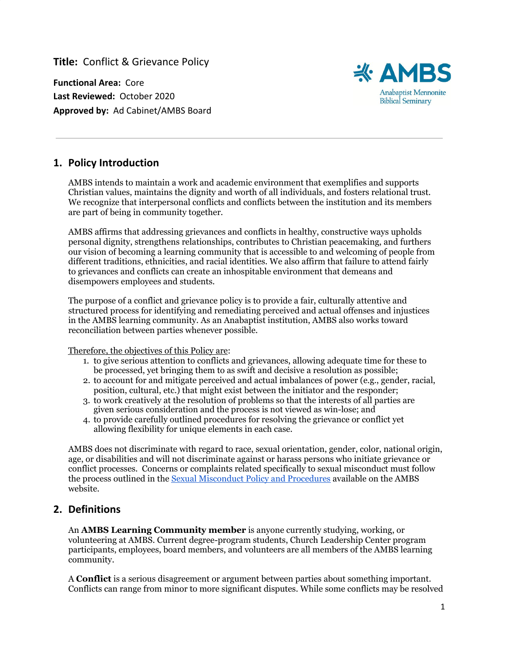**Title:** Conflict & Grievance Policy

**Functional Area:** Core **Last Reviewed:** October 2020 **Approved by:** Ad Cabinet/AMBS Board



# **1. Policy Introduction**

AMBS intends to maintain a work and academic environment that exemplifies and supports Christian values, maintains the dignity and worth of all individuals, and fosters relational trust. We recognize that interpersonal conflicts and conflicts between the institution and its members are part of being in community together.

AMBS affirms that addressing grievances and conflicts in healthy, constructive ways upholds personal dignity, strengthens relationships, contributes to Christian peacemaking, and furthers our vision of becoming a learning community that is accessible to and welcoming of people from different traditions, ethnicities, and racial identities. We also affirm that failure to attend fairly to grievances and conflicts can create an inhospitable environment that demeans and disempowers employees and students.

The purpose of a conflict and grievance policy is to provide a fair, culturally attentive and structured process for identifying and remediating perceived and actual offenses and injustices in the AMBS learning community. As an Anabaptist institution, AMBS also works toward reconciliation between parties whenever possible.

Therefore, the objectives of this Policy are:

- 1. to give serious attention to conflicts and grievances, allowing adequate time for these to be processed, yet bringing them to as swift and decisive a resolution as possible;
- 2. to account for and mitigate perceived and actual imbalances of power (e.g., gender, racial, position, cultural, etc.) that might exist between the initiator and the responder;
- 3. to work creatively at the resolution of problems so that the interests of all parties are given serious consideration and the process is not viewed as win-lose; and
- 4. to provide carefully outlined procedures for resolving the grievance or conflict yet allowing flexibility for unique elements in each case.

AMBS does not discriminate with regard to race, sexual orientation, gender, color, national origin, age, or disabilities and will not discriminate against or harass persons who initiate grievance or conflict processes. Concerns or complaints related specifically to sexual misconduct must follow the process outlined in the [Sexual Misconduct Policy and Procedures](https://docs.google.com/document/d/1mzrzNB3IHNwb_soioNZuylANS0tnt3JywxqJVC9DfnA/edit) available on the AMBS website.

# **2. Definitions**

An **AMBS Learning Community member** is anyone currently studying, working, or volunteering at AMBS. Current degree-program students, Church Leadership Center program participants, employees, board members, and volunteers are all members of the AMBS learning community.

A **Conflict** is a serious disagreement or argument between parties about something important. Conflicts can range from minor to more significant disputes. While some conflicts may be resolved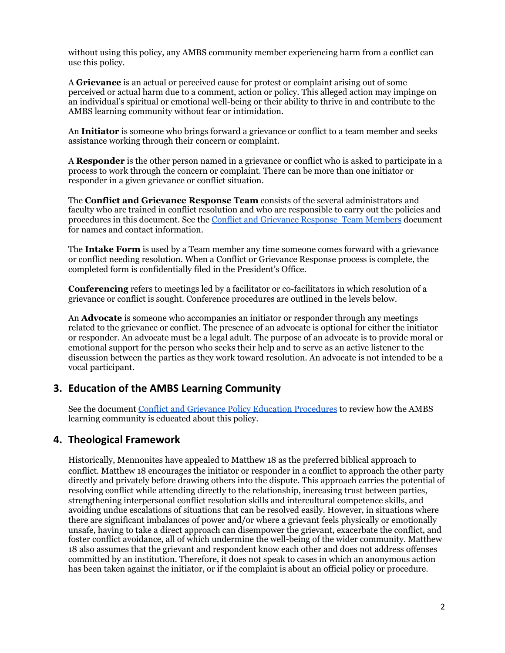without using this policy, any AMBS community member experiencing harm from a conflict can use this policy.

A **Grievance** is an actual or perceived cause for protest or complaint arising out of some perceived or actual harm due to a comment, action or policy. This alleged action may impinge on an individual's spiritual or emotional well-being or their ability to thrive in and contribute to the AMBS learning community without fear or intimidation.

An **Initiator** is someone who brings forward a grievance or conflict to a team member and seeks assistance working through their concern or complaint.

A **Responder** is the other person named in a grievance or conflict who is asked to participate in a process to work through the concern or complaint. There can be more than one initiator or responder in a given grievance or conflict situation.

The **Conflict and Grievance Response Team** consists of the several administrators and faculty who are trained in conflict resolution and who are responsible to carry out the policies and procedures in this document. See the [Conflict and Grievance Response Team Members](https://docs.google.com/document/d/1L9eTmyz4yOp7VRn-cjVhO3SxPiL5hYgoAE8Ov4tRSiE/edit) document for names and contact information.

The **Intake Form** is used by a Team member any time someone comes forward with a grievance or conflict needing resolution. When a Conflict or Grievance Response process is complete, the completed form is confidentially filed in the President's Office.

**Conferencing** refers to meetings led by a facilitator or co-facilitators in which resolution of a grievance or conflict is sought. Conference procedures are outlined in the levels below.

An **Advocate** is someone who accompanies an initiator or responder through any meetings related to the grievance or conflict. The presence of an advocate is optional for either the initiator or responder. An advocate must be a legal adult. The purpose of an advocate is to provide moral or emotional support for the person who seeks their help and to serve as an active listener to the discussion between the parties as they work toward resolution. An advocate is not intended to be a vocal participant.

## **3. Education of the AMBS Learning Community**

See the document [Conflict and Grievance Policy Education Procedures](https://docs.google.com/document/d/1X9DtE-yZXeuq0kRkpjfmMAEB63vmGwLMPCFW62Y-ODY/edit) to review how the AMBS learning community is educated about this policy.

## **4. Theological Framework**

Historically, Mennonites have appealed to Matthew 18 as the preferred biblical approach to conflict. Matthew 18 encourages the initiator or responder in a conflict to approach the other party directly and privately before drawing others into the dispute. This approach carries the potential of resolving conflict while attending directly to the relationship, increasing trust between parties, strengthening interpersonal conflict resolution skills and intercultural competence skills, and avoiding undue escalations of situations that can be resolved easily. However, in situations where there are significant imbalances of power and/or where a grievant feels physically or emotionally unsafe, having to take a direct approach can disempower the grievant, exacerbate the conflict, and foster conflict avoidance, all of which undermine the well-being of the wider community. Matthew 18 also assumes that the grievant and respondent know each other and does not address offenses committed by an institution. Therefore, it does not speak to cases in which an anonymous action has been taken against the initiator, or if the complaint is about an official policy or procedure.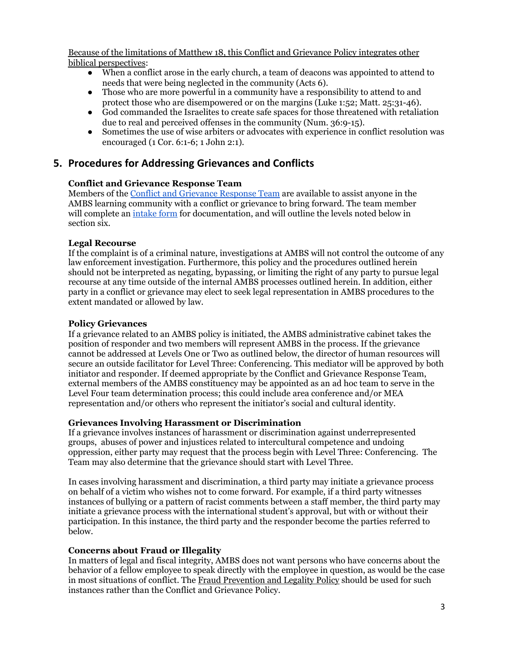Because of the limitations of Matthew 18, this Conflict and Grievance Policy integrates other biblical perspectives:

- When a conflict arose in the early church, a team of deacons was appointed to attend to needs that were being neglected in the community (Acts 6).
- Those who are more powerful in a community have a responsibility to attend to and protect those who are disempowered or on the margins (Luke 1:52; Matt. 25:31-46).
- God commanded the Israelites to create safe spaces for those threatened with retaliation due to real and perceived offenses in the community (Num. 36:9-15).
- Sometimes the use of wise arbiters or advocates with experience in conflict resolution was encouraged (1 Cor. 6:1-6; 1 John 2:1).

# **5. Procedures for Addressing Grievances and Conflicts**

### **Conflict and Grievance Response Team**

Members of the [Conflict and Grievance Response Team](https://docs.google.com/document/d/1L9eTmyz4yOp7VRn-cjVhO3SxPiL5hYgoAE8Ov4tRSiE/edit) are available to assist anyone in the AMBS learning community with a conflict or grievance to bring forward. The team member will complete an [intake form](https://docs.google.com/document/d/1q27dxxTb_2rWGLWhtfKbs6AZF7xsOqfgHLKA9YA4FQg/edit) for documentation, and will outline the levels noted below in section six.

### **Legal Recourse**

If the complaint is of a criminal nature, investigations at AMBS will not control the outcome of any law enforcement investigation. Furthermore, this policy and the procedures outlined herein should not be interpreted as negating, bypassing, or limiting the right of any party to pursue legal recourse at any time outside of the internal AMBS processes outlined herein. In addition, either party in a conflict or grievance may elect to seek legal representation in AMBS procedures to the extent mandated or allowed by law.

### **Policy Grievances**

If a grievance related to an AMBS policy is initiated, the AMBS administrative cabinet takes the position of responder and two members will represent AMBS in the process. If the grievance cannot be addressed at Levels One or Two as outlined below, the director of human resources will secure an outside facilitator for Level Three: Conferencing. This mediator will be approved by both initiator and responder. If deemed appropriate by the Conflict and Grievance Response Team, external members of the AMBS constituency may be appointed as an ad hoc team to serve in the Level Four team determination process; this could include area conference and/or MEA representation and/or others who represent the initiator's social and cultural identity.

#### **Grievances Involving Harassment or Discrimination**

If a grievance involves instances of harassment or discrimination against underrepresented groups, abuses of power and injustices related to intercultural competence and undoing oppression, either party may request that the process begin with Level Three: Conferencing. The Team may also determine that the grievance should start with Level Three.

In cases involving harassment and discrimination, a third party may initiate a grievance process on behalf of a victim who wishes not to come forward. For example, if a third party witnesses instances of bullying or a pattern of racist comments between a staff member, the third party may initiate a grievance process with the international student's approval, but with or without their participation. In this instance, the third party and the responder become the parties referred to below.

### **Concerns about Fraud or Illegality**

In matters of legal and fiscal integrity, AMBS does not want persons who have concerns about the behavior of a fellow employee to speak directly with the employee in question, as would be the case in most situations of conflict. The [Fraud Prevention and Legality Policy](https://docs.google.com/document/d/1gJflzhwvBzc8reyY3hXjNV9XtObPO2meUEYfsanWnzE/edit) should be used for such instances rather than the Conflict and Grievance Policy.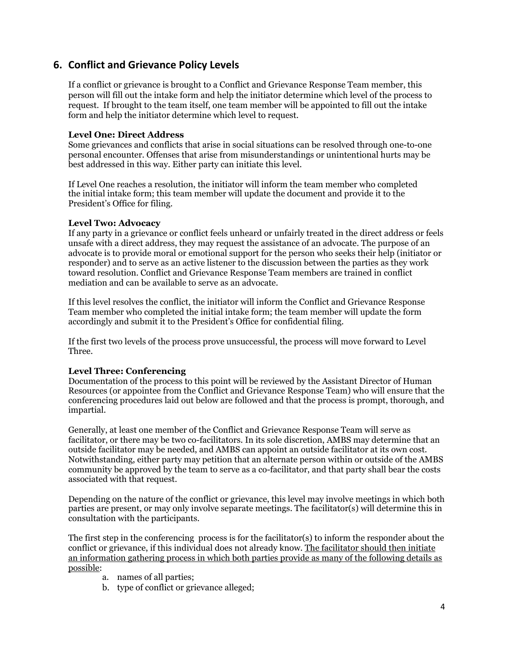# **6. Conflict and Grievance Policy Levels**

If a conflict or grievance is brought to a Conflict and Grievance Response Team member, this person will fill out the intake form and help the initiator determine which level of the process to request. If brought to the team itself, one team member will be appointed to fill out the intake form and help the initiator determine which level to request.

#### **Level One: Direct Address**

Some grievances and conflicts that arise in social situations can be resolved through one-to-one personal encounter. Offenses that arise from misunderstandings or unintentional hurts may be best addressed in this way. Either party can initiate this level.

If Level One reaches a resolution, the initiator will inform the team member who completed the initial intake form; this team member will update the document and provide it to the President's Office for filing.

#### **Level Two: Advocacy**

If any party in a grievance or conflict feels unheard or unfairly treated in the direct address or feels unsafe with a direct address, they may request the assistance of an advocate. The purpose of an advocate is to provide moral or emotional support for the person who seeks their help (initiator or responder) and to serve as an active listener to the discussion between the parties as they work toward resolution. Conflict and Grievance Response Team members are trained in conflict mediation and can be available to serve as an advocate.

If this level resolves the conflict, the initiator will inform the Conflict and Grievance Response Team member who completed the initial intake form; the team member will update the form accordingly and submit it to the President's Office for confidential filing.

If the first two levels of the process prove unsuccessful, the process will move forward to Level Three.

#### **Level Three: Conferencing**

Documentation of the process to this point will be reviewed by the Assistant Director of Human Resources (or appointee from the Conflict and Grievance Response Team) who will ensure that the conferencing procedures laid out below are followed and that the process is prompt, thorough, and impartial.

Generally, at least one member of the Conflict and Grievance Response Team will serve as facilitator, or there may be two co-facilitators. In its sole discretion, AMBS may determine that an outside facilitator may be needed, and AMBS can appoint an outside facilitator at its own cost. Notwithstanding, either party may petition that an alternate person within or outside of the AMBS community be approved by the team to serve as a co-facilitator, and that party shall bear the costs associated with that request.

Depending on the nature of the conflict or grievance, this level may involve meetings in which both parties are present, or may only involve separate meetings. The facilitator(s) will determine this in consultation with the participants.

The first step in the conferencing process is for the facilitator(s) to inform the responder about the conflict or grievance, if this individual does not already know. The facilitator should then initiate an information gathering process in which both parties provide as many of the following details as possible:

- a. names of all parties;
- b. type of conflict or grievance alleged;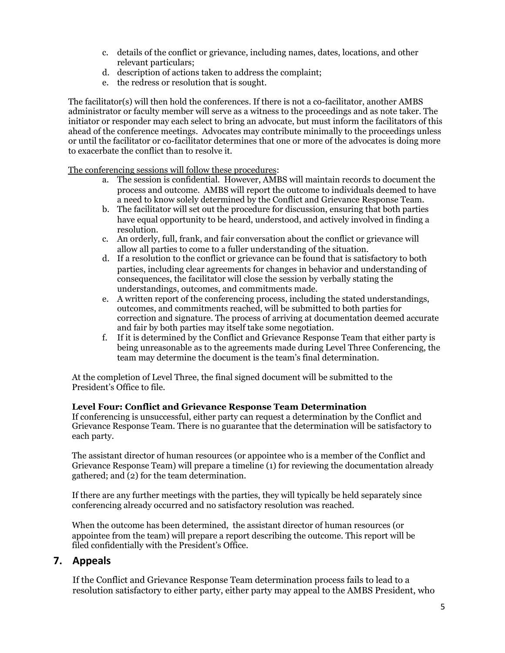- c. details of the conflict or grievance, including names, dates, locations, and other relevant particulars;
- d. description of actions taken to address the complaint;
- e. the redress or resolution that is sought.

The facilitator(s) will then hold the conferences. If there is not a co-facilitator, another AMBS administrator or faculty member will serve as a witness to the proceedings and as note taker. The initiator or responder may each select to bring an advocate, but must inform the facilitators of this ahead of the conference meetings. Advocates may contribute minimally to the proceedings unless or until the facilitator or co-facilitator determines that one or more of the advocates is doing more to exacerbate the conflict than to resolve it.

The conferencing sessions will follow these procedures:

- a. The session is confidential. However, AMBS will maintain records to document the process and outcome. AMBS will report the outcome to individuals deemed to have a need to know solely determined by the Conflict and Grievance Response Team.
- b. The facilitator will set out the procedure for discussion, ensuring that both parties have equal opportunity to be heard, understood, and actively involved in finding a resolution.
- c. An orderly, full, frank, and fair conversation about the conflict or grievance will allow all parties to come to a fuller understanding of the situation.
- d. If a resolution to the conflict or grievance can be found that is satisfactory to both parties, including clear agreements for changes in behavior and understanding of consequences, the facilitator will close the session by verbally stating the understandings, outcomes, and commitments made.
- e. A written report of the conferencing process, including the stated understandings, outcomes, and commitments reached, will be submitted to both parties for correction and signature. The process of arriving at documentation deemed accurate and fair by both parties may itself take some negotiation.
- f. If it is determined by the Conflict and Grievance Response Team that either party is being unreasonable as to the agreements made during Level Three Conferencing, the team may determine the document is the team's final determination.

At the completion of Level Three, the final signed document will be submitted to the President's Office to file.

#### **Level Four: Conflict and Grievance Response Team Determination**

If conferencing is unsuccessful, either party can request a determination by the Conflict and Grievance Response Team. There is no guarantee that the determination will be satisfactory to each party.

The assistant director of human resources (or appointee who is a member of the Conflict and Grievance Response Team) will prepare a timeline (1) for reviewing the documentation already gathered; and (2) for the team determination.

If there are any further meetings with the parties, they will typically be held separately since conferencing already occurred and no satisfactory resolution was reached.

When the outcome has been determined, the assistant director of human resources (or appointee from the team) will prepare a report describing the outcome. This report will be filed confidentially with the President's Office.

### **7. Appeals**

If the Conflict and Grievance Response Team determination process fails to lead to a resolution satisfactory to either party, either party may appeal to the AMBS President, who